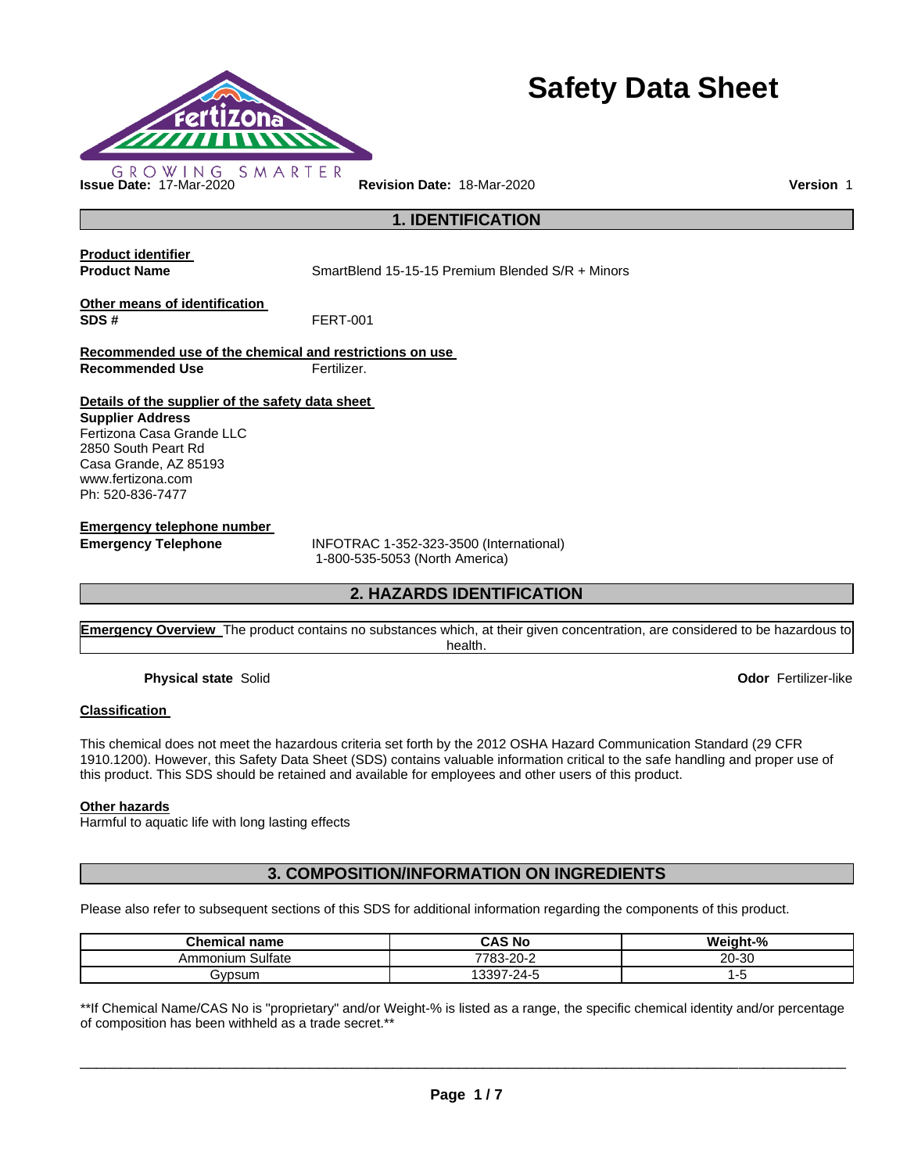

# **Safety Data Sheet**

**Product identifier** 

**Product Name SmartBlend 15-15-15 Premium Blended S/R + Minors** 

**1. IDENTIFICATION** 

**Other means of identification SDS #** FERT-001

**Recommended use of the chemical and restrictions on use Recommended Use Fertilizer.** 

**Details of the supplier of the safety data sheet** 

**Supplier Address** Fertizona Casa Grande LLC 2850 South Peart Rd Casa Grande, AZ 85193 www.fertizona.com Ph: 520-836-7477

**Emergency telephone number** 

**Emergency Telephone** INFOTRAC 1-352-323-3500 (International) 1-800-535-5053 (North America)

# **2. HAZARDS IDENTIFICATION**

**Emergency Overview** The product contains no substances which, at their given concentration, are considered to be hazardous to health.

**Physical state** Solid **Odor** Fertilizer-like

## **Classification**

This chemical does not meet the hazardous criteria set forth by the 2012 OSHA Hazard Communication Standard (29 CFR 1910.1200). However, this Safety Data Sheet (SDS) contains valuable information critical to the safe handling and proper use of this product. This SDS should be retained and available for employees and other users of this product.

#### **Other hazards**

Harmful to aquatic life with long lasting effects

**3. COMPOSITION/INFORMATION ON INGREDIENTS** 

Please also refer to subsequent sections of this SDS for additional information regarding the components of this product.

| <b>Chemical name</b> | <b>CAS No</b> | Weight-% |
|----------------------|---------------|----------|
| Sulfate<br>Ammonium  | 7783-20-2     | 20-30    |
| ∍vpsum               | 13397-24-5    | ٠.       |

\*\*If Chemical Name/CAS No is "proprietary" and/or Weight-% is listed as a range, the specific chemical identity and/or percentage of composition has been withheld as a trade secret.\*\*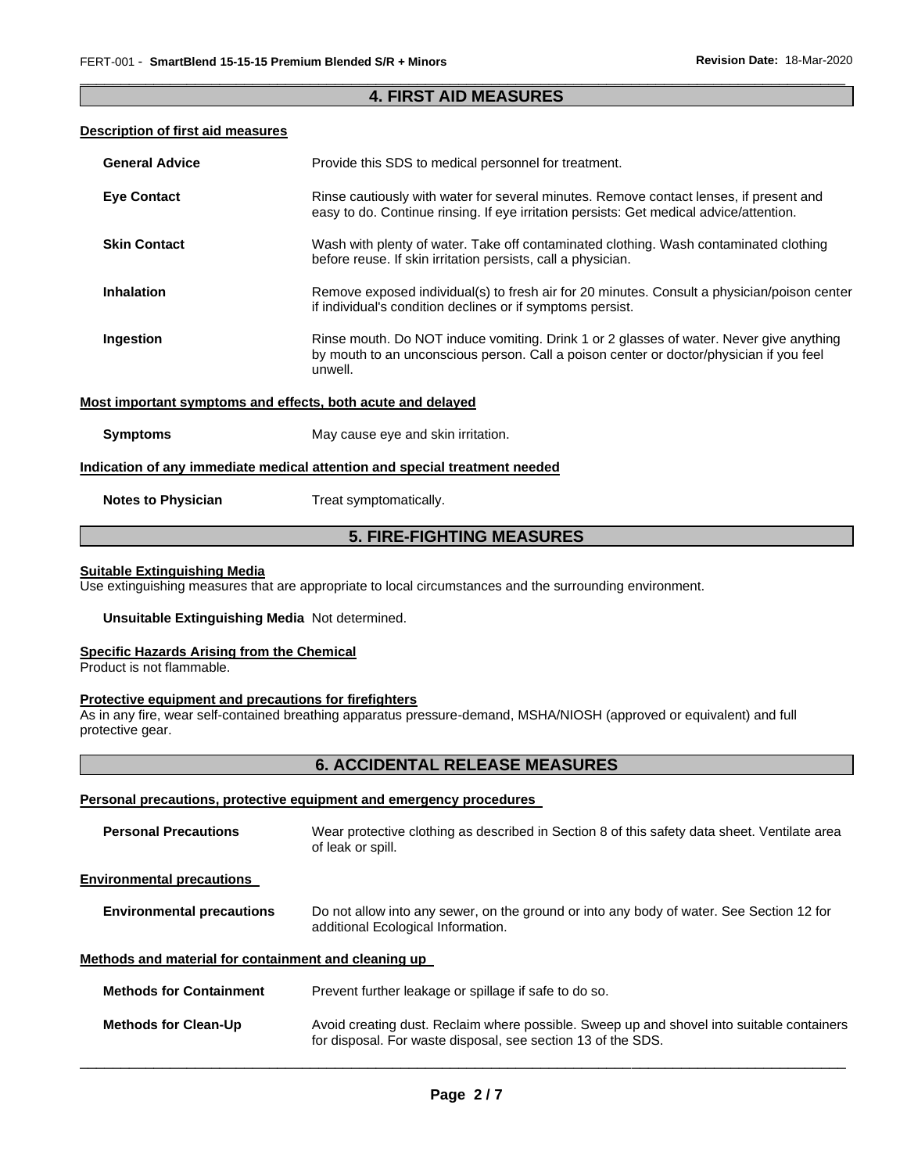## \_\_\_\_\_\_\_\_\_\_\_\_\_\_\_\_\_\_\_\_\_\_\_\_\_\_\_\_\_\_\_\_\_\_\_\_\_\_\_\_\_\_\_\_\_\_\_\_\_\_\_\_\_\_\_\_\_\_\_\_\_\_\_\_\_\_\_\_\_\_\_\_\_\_\_\_\_\_\_\_\_\_\_\_\_\_\_\_\_\_\_\_\_ **4. FIRST AID MEASURES**

## **Description of first aid measures**

| <b>General Advice</b>                                       | Provide this SDS to medical personnel for treatment.                                                                                                                                          |
|-------------------------------------------------------------|-----------------------------------------------------------------------------------------------------------------------------------------------------------------------------------------------|
| <b>Eye Contact</b>                                          | Rinse cautiously with water for several minutes. Remove contact lenses, if present and<br>easy to do. Continue rinsing. If eye irritation persists: Get medical advice/attention.             |
| <b>Skin Contact</b>                                         | Wash with plenty of water. Take off contaminated clothing. Wash contaminated clothing<br>before reuse. If skin irritation persists, call a physician.                                         |
| <b>Inhalation</b>                                           | Remove exposed individual(s) to fresh air for 20 minutes. Consult a physician/poison center<br>if individual's condition declines or if symptoms persist.                                     |
| Ingestion                                                   | Rinse mouth. Do NOT induce vomiting. Drink 1 or 2 glasses of water. Never give anything<br>by mouth to an unconscious person. Call a poison center or doctor/physician if you feel<br>unwell. |
| Most important symptoms and effects, both acute and delayed |                                                                                                                                                                                               |
| <b>Symptoms</b>                                             | May cause eye and skin irritation.                                                                                                                                                            |
|                                                             | Indication of any immediate medical attention and special treatment needed                                                                                                                    |
| <b>Notes to Physician</b>                                   | Treat symptomatically.                                                                                                                                                                        |

# **5. FIRE-FIGHTING MEASURES**

## **Suitable Extinguishing Media**

Use extinguishing measures that are appropriate to local circumstances and the surrounding environment.

## **Unsuitable Extinguishing Media** Not determined.

#### **Specific Hazards Arising from the Chemical**

Product is not flammable.

## **Protective equipment and precautions for firefighters**

As in any fire, wear self-contained breathing apparatus pressure-demand, MSHA/NIOSH (approved or equivalent) and full protective gear.

# **6. ACCIDENTAL RELEASE MEASURES**

### **Personal precautions, protective equipment and emergency procedures**

| <b>Personal Precautions</b>                          | Wear protective clothing as described in Section 8 of this safety data sheet. Ventilate area<br>of leak or spill.                                         |
|------------------------------------------------------|-----------------------------------------------------------------------------------------------------------------------------------------------------------|
| <b>Environmental precautions</b>                     |                                                                                                                                                           |
| <b>Environmental precautions</b>                     | Do not allow into any sewer, on the ground or into any body of water. See Section 12 for<br>additional Ecological Information.                            |
| Methods and material for containment and cleaning up |                                                                                                                                                           |
| <b>Methods for Containment</b>                       | Prevent further leakage or spillage if safe to do so.                                                                                                     |
| <b>Methods for Clean-Up</b>                          | Avoid creating dust. Reclaim where possible. Sweep up and shovel into suitable containers<br>for disposal. For waste disposal, see section 13 of the SDS. |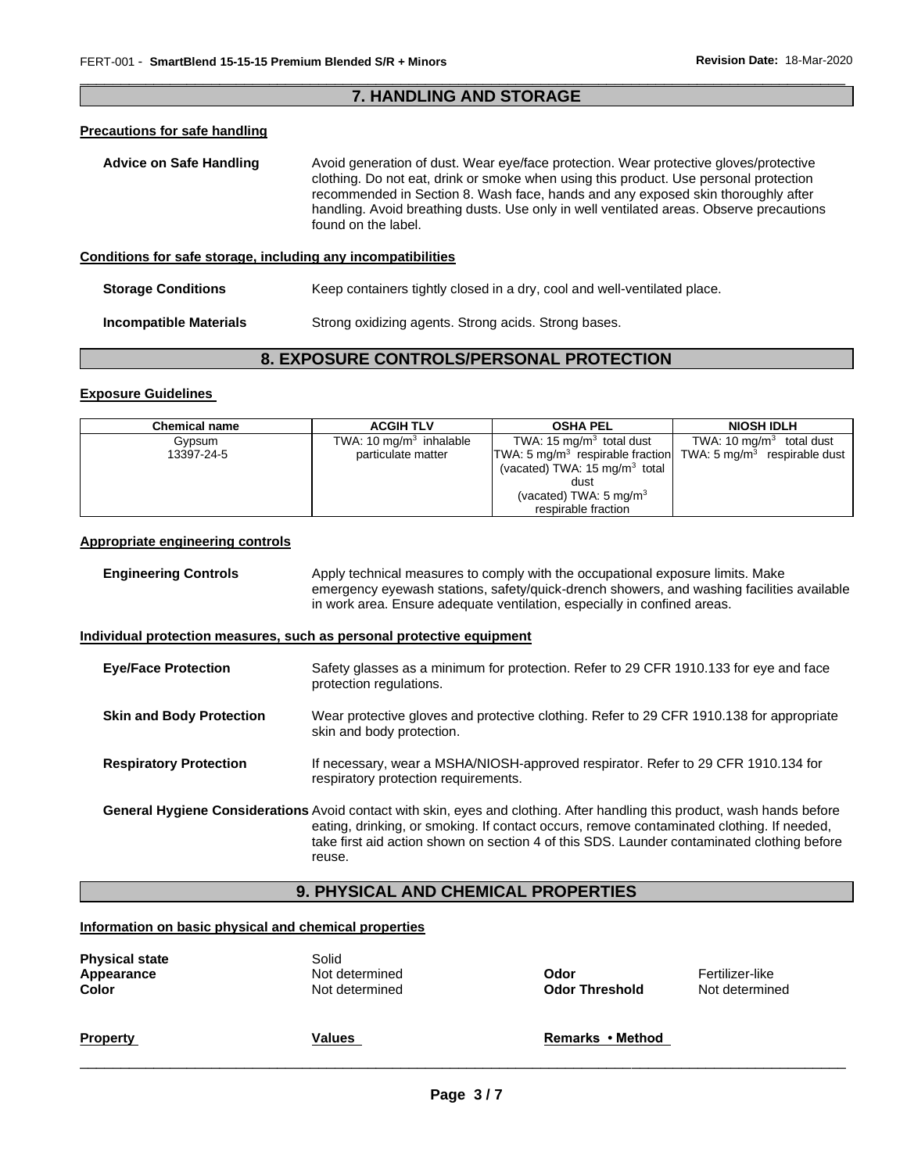## \_\_\_\_\_\_\_\_\_\_\_\_\_\_\_\_\_\_\_\_\_\_\_\_\_\_\_\_\_\_\_\_\_\_\_\_\_\_\_\_\_\_\_\_\_\_\_\_\_\_\_\_\_\_\_\_\_\_\_\_\_\_\_\_\_\_\_\_\_\_\_\_\_\_\_\_\_\_\_\_\_\_\_\_\_\_\_\_\_\_\_\_\_ **7. HANDLING AND STORAGE**

# **Precautions for safe handling**

| <b>Advice on Safe Handling</b>                               | Avoid generation of dust. Wear eye/face protection. Wear protective gloves/protective<br>clothing. Do not eat, drink or smoke when using this product. Use personal protection<br>recommended in Section 8. Wash face, hands and any exposed skin thoroughly after<br>handling. Avoid breathing dusts. Use only in well ventilated areas. Observe precautions<br>found on the label. |  |
|--------------------------------------------------------------|--------------------------------------------------------------------------------------------------------------------------------------------------------------------------------------------------------------------------------------------------------------------------------------------------------------------------------------------------------------------------------------|--|
| Conditions for safe storage, including any incompatibilities |                                                                                                                                                                                                                                                                                                                                                                                      |  |

#### **Storage Conditions Keep containers tightly closed in a dry, cool and well-ventilated place.**

**Incompatible Materials Strong oxidizing agents. Strong acids. Strong bases.** 

# **8. EXPOSURE CONTROLS/PERSONAL PROTECTION**

#### **Exposure Guidelines**

| <b>Chemical name</b> | <b>ACGIH TLV</b>          | <b>OSHA PEL</b>                                                                       | <b>NIOSH IDLH</b>          |
|----------------------|---------------------------|---------------------------------------------------------------------------------------|----------------------------|
| Gypsum               | TWA: 10 $mg/m3$ inhalable | TWA: $15 \text{ mg/m}^3$ total dust                                                   | TWA: 10 $mq/m3$ total dust |
| 13397-24-5           | particulate matter        | TWA: 5 mg/m <sup>3</sup> respirable fraction TWA: 5 mg/m <sup>3</sup> respirable dust |                            |
|                      |                           | (vacated) TWA: $15 \text{ mg/m}^3$ total                                              |                            |
|                      |                           | dust                                                                                  |                            |
|                      |                           | (vacated) TWA: $5 \text{ mg/m}^3$                                                     |                            |
|                      |                           | respirable fraction                                                                   |                            |

## **Appropriate engineering controls**

| <b>Engineering Controls</b>     | Apply technical measures to comply with the occupational exposure limits. Make<br>emergency eyewash stations, safety/quick-drench showers, and washing facilities available<br>in work area. Ensure adequate ventilation, especially in confined areas.                                                              |
|---------------------------------|----------------------------------------------------------------------------------------------------------------------------------------------------------------------------------------------------------------------------------------------------------------------------------------------------------------------|
|                                 | Individual protection measures, such as personal protective equipment                                                                                                                                                                                                                                                |
| <b>Eye/Face Protection</b>      | Safety glasses as a minimum for protection. Refer to 29 CFR 1910.133 for eye and face<br>protection regulations.                                                                                                                                                                                                     |
| <b>Skin and Body Protection</b> | Wear protective gloves and protective clothing. Refer to 29 CFR 1910.138 for appropriate<br>skin and body protection.                                                                                                                                                                                                |
| <b>Respiratory Protection</b>   | If necessary, wear a MSHA/NIOSH-approved respirator. Refer to 29 CFR 1910.134 for<br>respiratory protection requirements.                                                                                                                                                                                            |
|                                 | General Hygiene Considerations Avoid contact with skin, eyes and clothing. After handling this product, wash hands before<br>eating, drinking, or smoking. If contact occurs, remove contaminated clothing. If needed,<br>take first aid action shown on section 4 of this SDS. Launder contaminated clothing before |

# **9. PHYSICAL AND CHEMICAL PROPERTIES**

### **Information on basic physical and chemical properties**

reuse.

| <b>Physical state</b><br>Appearance<br>Color | Solid<br>Not determined<br>Not determined | Odor<br><b>Odor Threshold</b> | Fertilizer-like<br>Not determined |
|----------------------------------------------|-------------------------------------------|-------------------------------|-----------------------------------|
| <b>Property</b>                              | Values                                    | Remarks • Method              |                                   |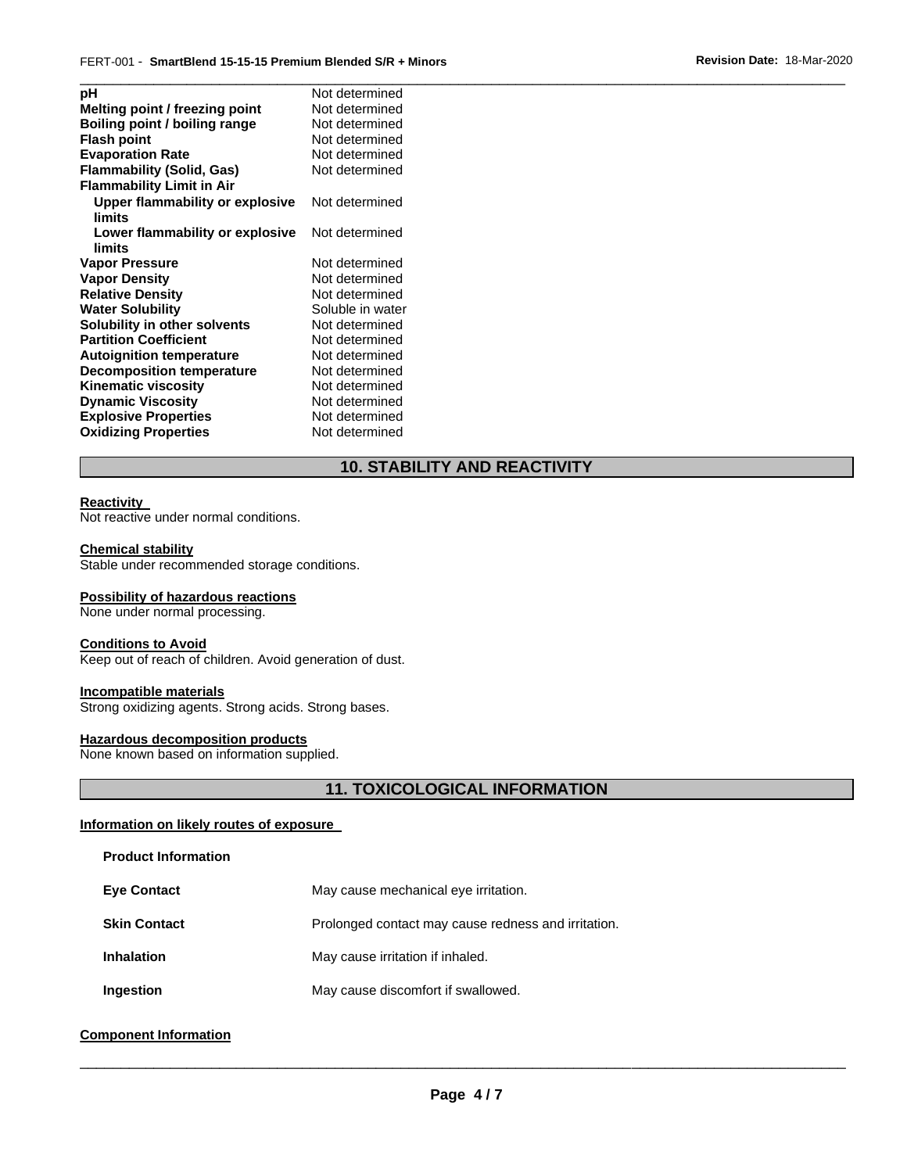| рH                                        | Not determined   |
|-------------------------------------------|------------------|
| Melting point / freezing point            | Not determined   |
| Boiling point / boiling range             | Not determined   |
| <b>Flash point</b>                        | Not determined   |
| <b>Evaporation Rate</b>                   | Not determined   |
| <b>Flammability (Solid, Gas)</b>          | Not determined   |
| <b>Flammability Limit in Air</b>          |                  |
| Upper flammability or explosive<br>limits | Not determined   |
| Lower flammability or explosive<br>limits | Not determined   |
| <b>Vapor Pressure</b>                     | Not determined   |
| <b>Vapor Density</b>                      | Not determined   |
| <b>Relative Density</b>                   | Not determined   |
| <b>Water Solubility</b>                   | Soluble in water |
| Solubility in other solvents              | Not determined   |
| <b>Partition Coefficient</b>              | Not determined   |
| <b>Autoignition temperature</b>           | Not determined   |
| <b>Decomposition temperature</b>          | Not determined   |
| Kinematic viscosity                       | Not determined   |
| <b>Dynamic Viscosity</b>                  | Not determined   |
| <b>Explosive Properties</b>               | Not determined   |
| <b>Oxidizing Properties</b>               | Not determined   |
|                                           |                  |

# **10. STABILITY AND REACTIVITY**

#### **Reactivity**

Not reactive under normal conditions.

#### **Chemical stability**

Stable under recommended storage conditions.

#### **Possibility of hazardous reactions**

None under normal processing.

#### **Conditions to Avoid**

Keep out of reach of children. Avoid generation of dust.

#### **Incompatible materials**

Strong oxidizing agents. Strong acids. Strong bases.

## **Hazardous decomposition products**

None known based on information supplied.

# **11. TOXICOLOGICAL INFORMATION**

## **Information on likely routes of exposure**

## **Product Information**

| <b>Eye Contact</b> | May cause mechanical eye irritation.       |
|--------------------|--------------------------------------------|
| Clin Cantont       | Drolonged contact mou couse redness and in |

- **Skin Contact Prolonged contact may cause redness and irritation.**
- **Inhalation May cause irritation if inhaled.**
- **Ingestion May cause discomfort if swallowed.**

# **Component Information**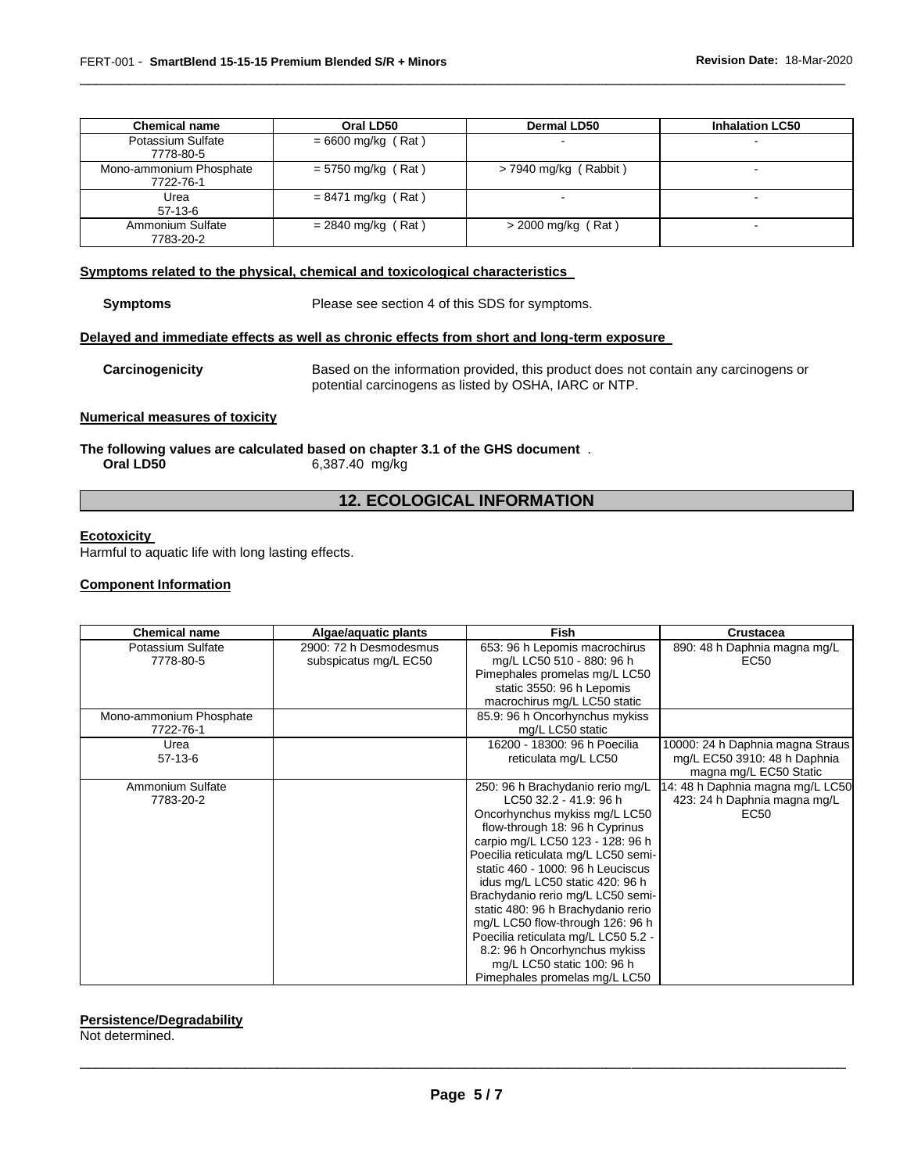| <b>Chemical name</b>                 | Oral LD50            | <b>Dermal LD50</b>      | <b>Inhalation LC50</b> |
|--------------------------------------|----------------------|-------------------------|------------------------|
| Potassium Sulfate<br>7778-80-5       | $= 6600$ mg/kg (Rat) | -                       |                        |
| Mono-ammonium Phosphate<br>7722-76-1 | $= 5750$ mg/kg (Rat) | $>$ 7940 mg/kg (Rabbit) |                        |
| Urea<br>$57-13-6$                    | $= 8471$ mg/kg (Rat) | -                       |                        |
| Ammonium Sulfate<br>7783-20-2        | $= 2840$ mg/kg (Rat) | $>$ 2000 mg/kg (Rat)    | $\blacksquare$         |

\_\_\_\_\_\_\_\_\_\_\_\_\_\_\_\_\_\_\_\_\_\_\_\_\_\_\_\_\_\_\_\_\_\_\_\_\_\_\_\_\_\_\_\_\_\_\_\_\_\_\_\_\_\_\_\_\_\_\_\_\_\_\_\_\_\_\_\_\_\_\_\_\_\_\_\_\_\_\_\_\_\_\_\_\_\_\_\_\_\_\_\_\_

#### **Symptoms related to the physical, chemical and toxicological characteristics**

**Symptoms** Please see section 4 of this SDS for symptoms.

#### **Delayed and immediate effects as well as chronic effects from short and long-term exposure**

**Carcinogenicity** Based on the information provided, this product does not contain any carcinogens or potential carcinogens as listed by OSHA, IARC or NTP.

#### **Numerical measures of toxicity**

**The following values are calculated based on chapter 3.1 of the GHS document** . **Oral LD50** 6,387.40 mg/kg

# **12. ECOLOGICAL INFORMATION**

#### **Ecotoxicity**

Harmful to aquatic life with long lasting effects.

#### **Component Information**

| <b>Chemical name</b>           | Algae/aguatic plants                            | <b>Fish</b>                                                | <b>Crustacea</b>                     |
|--------------------------------|-------------------------------------------------|------------------------------------------------------------|--------------------------------------|
| Potassium Sulfate<br>7778-80-5 | 2900: 72 h Desmodesmus<br>subspicatus mg/L EC50 | 653: 96 h Lepomis macrochirus<br>mg/L LC50 510 - 880: 96 h | 890: 48 h Daphnia magna mg/L<br>EC50 |
|                                |                                                 | Pimephales promelas mg/L LC50                              |                                      |
|                                |                                                 | static 3550: 96 h Lepomis                                  |                                      |
|                                |                                                 | macrochirus mg/L LC50 static                               |                                      |
| Mono-ammonium Phosphate        |                                                 | 85.9: 96 h Oncorhynchus mykiss                             |                                      |
| 7722-76-1                      |                                                 | mg/L LC50 static                                           |                                      |
| Urea                           |                                                 | 16200 - 18300: 96 h Poecilia                               | 10000: 24 h Daphnia magna Straus     |
| $57-13-6$                      |                                                 | reticulata mg/L LC50                                       | mg/L EC50 3910: 48 h Daphnia         |
|                                |                                                 |                                                            | magna mg/L EC50 Static               |
| Ammonium Sulfate               |                                                 | 250: 96 h Brachydanio rerio mg/L                           | 14: 48 h Daphnia magna mg/L LC50     |
| 7783-20-2                      |                                                 | LC50 32.2 - 41.9: 96 h                                     | 423: 24 h Daphnia magna mg/L         |
|                                |                                                 | Oncorhynchus mykiss mg/L LC50                              | EC50                                 |
|                                |                                                 | flow-through 18: 96 h Cyprinus                             |                                      |
|                                |                                                 | carpio mg/L LC50 123 - 128: 96 h                           |                                      |
|                                |                                                 | Poecilia reticulata mg/L LC50 semi-                        |                                      |
|                                |                                                 | static 460 - 1000: 96 h Leuciscus                          |                                      |
|                                |                                                 | idus mg/L LC50 static 420: 96 h                            |                                      |
|                                |                                                 | Brachydanio rerio mg/L LC50 semi-                          |                                      |
|                                |                                                 | static 480: 96 h Brachydanio rerio                         |                                      |
|                                |                                                 | mg/L LC50 flow-through 126: 96 h                           |                                      |
|                                |                                                 | Poecilia reticulata mg/L LC50 5.2 -                        |                                      |
|                                |                                                 | 8.2: 96 h Oncorhynchus mykiss                              |                                      |
|                                |                                                 | mg/L LC50 static 100: 96 h                                 |                                      |
|                                |                                                 | Pimephales promelas mg/L LC50                              |                                      |

#### **Persistence/Degradability**

Not determined.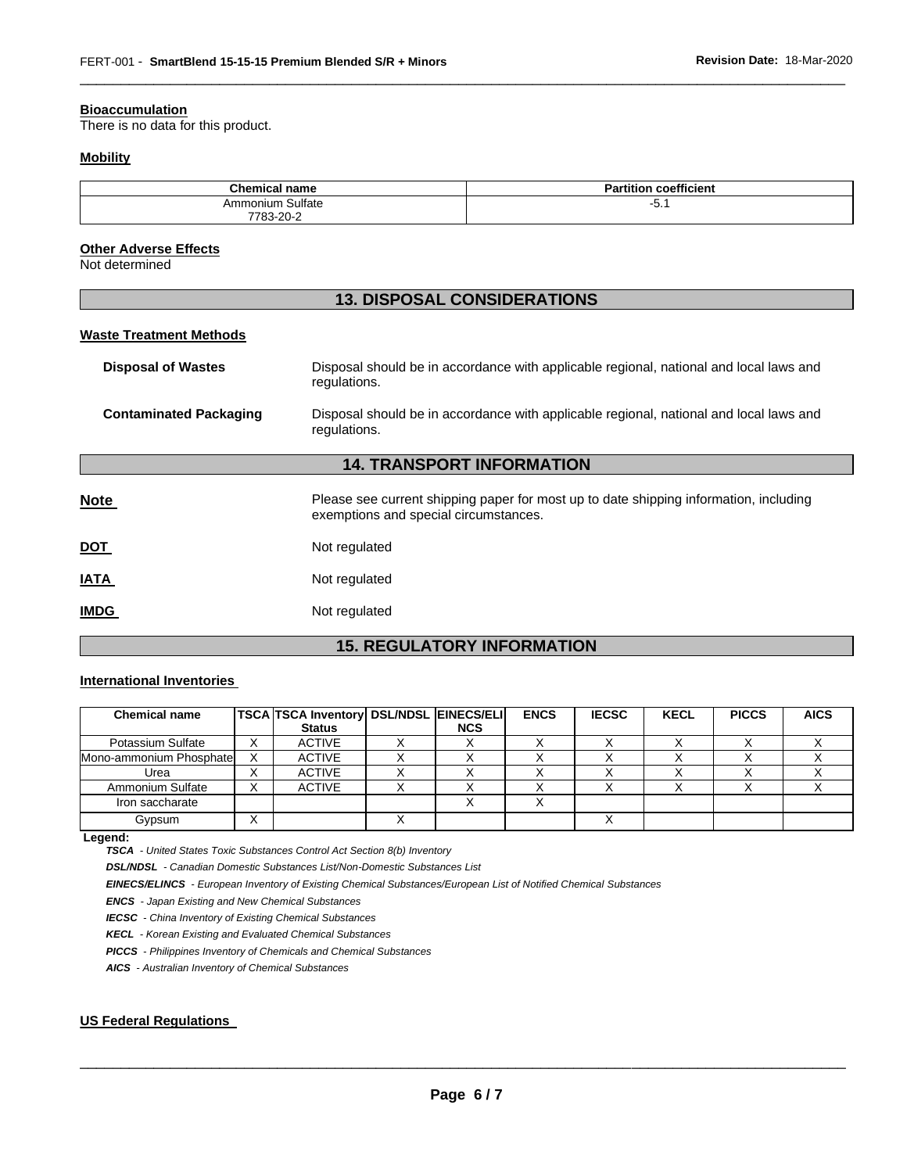#### **Bioaccumulation**

There is no data for this product.

#### **Mobility**

| <b>Chemical name</b> | <b>Partition coefficient</b> |
|----------------------|------------------------------|
| Ammonium Sulfate     | ∽<br>−∪. .                   |
| 7783-20-2<br>$\sim$  |                              |

\_\_\_\_\_\_\_\_\_\_\_\_\_\_\_\_\_\_\_\_\_\_\_\_\_\_\_\_\_\_\_\_\_\_\_\_\_\_\_\_\_\_\_\_\_\_\_\_\_\_\_\_\_\_\_\_\_\_\_\_\_\_\_\_\_\_\_\_\_\_\_\_\_\_\_\_\_\_\_\_\_\_\_\_\_\_\_\_\_\_\_\_\_

#### **Other Adverse Effects**

Not determined

| <b>13. DISPOSAL CONSIDERATIONS</b> |                                                                                                                                |  |  |  |
|------------------------------------|--------------------------------------------------------------------------------------------------------------------------------|--|--|--|
| <b>Waste Treatment Methods</b>     |                                                                                                                                |  |  |  |
| <b>Disposal of Wastes</b>          | Disposal should be in accordance with applicable regional, national and local laws and<br>regulations.                         |  |  |  |
| <b>Contaminated Packaging</b>      | Disposal should be in accordance with applicable regional, national and local laws and<br>regulations.                         |  |  |  |
|                                    | <b>14. TRANSPORT INFORMATION</b>                                                                                               |  |  |  |
| <b>Note</b>                        | Please see current shipping paper for most up to date shipping information, including<br>exemptions and special circumstances. |  |  |  |
| <u>DOT</u>                         | Not regulated                                                                                                                  |  |  |  |
| IATA                               | Not regulated                                                                                                                  |  |  |  |
| <b>IMDG</b>                        | Not regulated                                                                                                                  |  |  |  |

# **15. REGULATORY INFORMATION**

#### **International Inventories**

| <b>Chemical name</b>    |                   | <b>TSCA TSCA Inventory DSL/NDSL EINECS/ELI</b><br><b>Status</b> | <b>NCS</b> | <b>ENCS</b> | <b>IECSC</b> | <b>KECL</b> | <b>PICCS</b> | <b>AICS</b> |
|-------------------------|-------------------|-----------------------------------------------------------------|------------|-------------|--------------|-------------|--------------|-------------|
| Potassium Sulfate       | $\sim$            | <b>ACTIVE</b>                                                   |            |             |              |             |              |             |
| Mono-ammonium Phosphate |                   | <b>ACTIVE</b>                                                   |            |             |              |             |              |             |
| Urea                    | ⌒                 | <b>ACTIVE</b>                                                   |            |             |              |             |              |             |
| Ammonium Sulfate        | ⌒                 | <b>ACTIVE</b>                                                   |            |             |              |             |              |             |
| Iron saccharate         |                   |                                                                 |            |             |              |             |              |             |
| Gypsum                  | $\checkmark$<br>⌒ |                                                                 |            |             |              |             |              |             |

**Legend:** 

*TSCA - United States Toxic Substances Control Act Section 8(b) Inventory* 

*DSL/NDSL - Canadian Domestic Substances List/Non-Domestic Substances List* 

*EINECS/ELINCS - European Inventory of Existing Chemical Substances/European List of Notified Chemical Substances* 

*ENCS - Japan Existing and New Chemical Substances* 

*IECSC - China Inventory of Existing Chemical Substances* 

*KECL - Korean Existing and Evaluated Chemical Substances* 

*PICCS - Philippines Inventory of Chemicals and Chemical Substances* 

*AICS - Australian Inventory of Chemical Substances* 

## **US Federal Regulations**